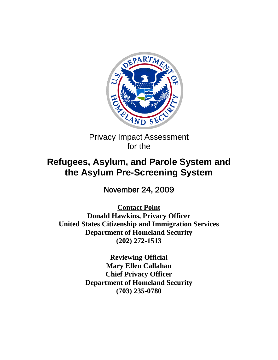

Privacy Impact Assessment for the

# **Refugees, Asylum, and Parole System and the Asylum Pre-Screening System**

November 24, 2009

**Contact Point Donald Hawkins, Privacy Officer United States Citizenship and Immigration Services Department of Homeland Security (202) 272-1513** 

> **Reviewing Official Mary Ellen Callahan Chief Privacy Officer Department of Homeland Security (703) 235-0780**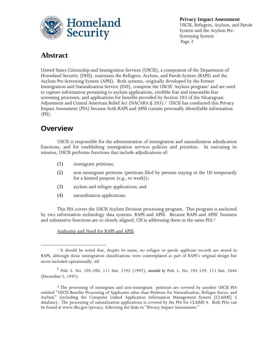

## **Abstract**

United States Citizenship and Immigration Services (USCIS), a component of the Department of Homeland Security (DHS), maintains the Refugees, Asylum, and Parole System (RAPS) and the Asylum Pre-Screening System (APSS). Both systems, originally developed by the former Immigration and Naturalization Service (INS), comprise the USCIS' Asylum program<sup>1</sup> and are used to capture information pertaining to asylum applications, credible fear and reasonable fear screening processes, and applications for benefits provided by Section 203 of the Nicaraguan Adjustment and Central American Relief Act (NACARA § 203). <sup>2</sup> USCIS has conducted this Privacy Impact Assessment (PIA) because both RAPS and APSS contain personally identifiable information  $(PII).$ 

## **Overview**

 $\overline{a}$ 

USCIS is responsible for the administration of immigration and naturalization adjudication functions, and for establishing immigration services policies and priorities. In executing its mission, USCIS performs functions that include adjudications of:

- (1) immigrant petitions;
- (2) non-immigrant petitions (petitions filed by persons staying in the US temporarily for a limited purpose (e.g., to work));
- (3) asylum and refugee applications; and
- (4) naturalization applications.

This PIA covers the USCIS Asylum Division processing program. This program is anchored by two information technology data systems: RAPS and APSS. Because RAPS and APSS' business and substantive functions are so closely aligned, CIS is addressing them in the same PIA.<sup>3</sup>

#### Authority and Need for RAPS and APSS

<sup>&</sup>lt;sup>1</sup> It should be noted that, despite its name, no refugee or parole applicant records are stored in RAPS, although those immigration classifications were contemplated as part of RAPS's original design but never included operationally. dif

<sup>2</sup> Pub. L. No. 105-100, 111 Stat. 2193 (1997), *amended by* Pub. L. No. 105-139, 111 Stat. 2644 (December 2, 1997).

**<sup>3</sup>** The processing of immigrant and non-immigrant petitions are covered by another USCIS PIA entitled "USCIS Benefits Processing of Applicants other than Petitions for Naturalization, Refugee Status, and Asylum" (including the Computer Linked Application Information Management System [CLAIMS] 3 database). The processing of naturalization applications is covered by the PIA for CLAIMS 4. Both PIAs can be found at www.dhs.gov/privacy, following the links to "Privacy Impact Assessments."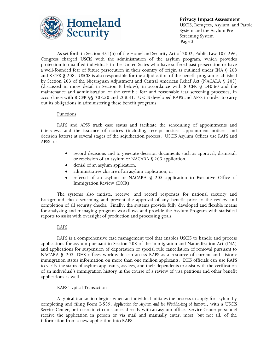

As set forth in Section 451(b) of the Homeland Security Act of 2002, Public Law 107-296, Congress charged USCIS with the administration of the asylum program, which provides protection to qualified individuals in the United States who have suffered past persecution or have a well-founded fear of future persecution in their country of origin as outlined under INA § 208 and 8 CFR § 208. USCIS is also responsible for the adjudication of the benefit program established by Section 203 of the Nicaraguan Adjustment and Central American Relief Act (NACARA § 203) (discussed in more detail in Section B below), in accordance with 8 CFR § 240.60 and the maintenance and administration of the credible fear and reasonable fear screening processes, in accordance with 8 CFR §§ 208.30 and 208.31. USCIS developed RAPS and APSS in order to carry out its obligations in administering these benefit programs.

#### **Functions**

RAPS and APSS track case status and facilitate the scheduling of appointments and interviews and the issuance of notices (including receipt notices, appointment notices, and decision letters) at several stages of the adjudication process. USCIS Asylum Offices use RAPS and APSS to:

- record decisions and to generate decision documents such as approval, dismissal, or rescission of an asylum or NACARA § 203 application,
- denial of an asylum application,
- administrative closure of an asylum application, or  $\bullet$
- referral of an asylum or NACARA § 203 application to Executive Office of Immigration Review (EOIR).

The systems also initiate, receive, and record responses for national security and background check screening and prevent the approval of any benefit prior to the review and completion of all security checks. Finally, the systems provide fully developed and flexible means for analyzing and managing program workflows and provide the Asylum Program with statistical reports to assist with oversight of production and processing goals.

#### RAPS

RAPS is a comprehensive case management tool that enables USCIS to handle and process applications for asylum pursuant to Section 208 of the Immigration and Naturalization Act (INA) and applications for suspension of deportation or special rule cancellation of removal pursuant to NACARA § 203. DHS offices worldwide can access RAPS as a resource of current and historic immigration status information on more than one million applicants. DHS officials can use RAPS to verify the status of asylum applicants, asylees, and their dependents to assist with the verification of an individual's immigration history in the course of a review of visa petitions and other benefit applications as well.

#### RAPS Typical Transaction

A typical transaction begins when an individual initiates the process to apply for asylum by completing and filing Form I-589, *Application for Asylum and for Withholding of Removal*, with a USCIS Service Center, or in certain circumstances directly with an asylum office. Service Center personnel receive the application in person or via mail and manually enter, most, but not all, of the information from a new application into RAPS.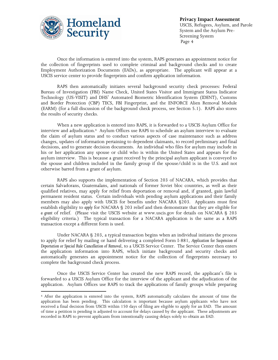

 $\overline{a}$ 

Once the information is entered into the system, RAPS generates an appointment notice for the collection of fingerprints used to complete criminal and background checks and to create Employment Authorization Documents (EADs), as appropriate. The applicant will appear at a USCIS service center to provide fingerprints and confirm application information.

RAPS then automatically initiates several background security check processes: Federal Bureau of Investigation (FBI) Name Check, United States Visitor and Immigrant Status Indicator Technology (US-VISIT) and DHS' Automated Biometric Identification System (IDENT), Customs and Border Protection (CBP) TECS, FBI Fingerprint, and the ENFORCE Alien Removal Module (EARM) (for a full discussion of the background check process, see Section 5.1). RAPS also stores the results of security checks.

When a new application is entered into RAPS, it is forwarded to a USCIS Asylum Office for interview and adjudication.4 Asylum Offices use RAPS to schedule an asylum interview to evaluate the claim of asylum status and to conduct various aspects of case maintenance such as address changes, updates of information pertaining to dependent claimants, to record preliminary and final decisions, and to generate decision documents. An individual who files for asylum may include in his or her application any spouse or child who is within the United States and appears for the asylum interview. This is because a grant received by the principal asylum applicant is conveyed to the spouse and children included in the family group if the spouse/child is in the U.S. and not otherwise barred from a grant of asylum.

RAPS also supports the implementation of Section 203 of NACARA, which provides that certain Salvadorans, Guatemalans, and nationals of former Soviet bloc countries, as well as their qualified relatives, may apply for relief from deportation or removal and, if granted, gain lawful permanent resident status. Certain individuals with pending asylum applications and their family members may also apply with USCIS for benefits under NACARA §203. Applicants must first establish eligibility to *apply* for NACARA § 203 relief and then demonstrate that they are eligible for *a grant* of relief. (Please visit the USCIS website at www.uscis.gov for details on NACARA § 203 eligibility criteria.) The typical transaction for a NACARA application is the same as a RAPS transaction except a different form is used.

Under NACARA § 203, a typical transaction begins when an individual initiates the process to apply for relief by mailing or hand delivering a completed Form I-881, *Application for Suspension of Deportation or Special Rule Cancellation of Removal*, to a USCIS Service Center. The Service Center then enters the application information into RAPS, which initiate background and security checks and automatically generates an appointment notice for the collection of fingerprints necessary to complete the background check process.

Once the USCIS Service Center has created the new RAPS record, the applicant's file is forwarded to a USCIS Asylum Office for the interview of the applicant and the adjudication of the application. Asylum Offices use RAPS to track the applications of family groups while preparing

<sup>4</sup> After the application is entered into the system, RAPS automatically calculates the amount of time the application has been pending. This calculation is important because asylum applicants who have not received a final decision from USCIS within 150 days of filing are eligible to apply for an EAD. The amount of time a petition is pending is adjusted to account for delays caused by the applicant. These adjustments are recorded in RAPS to prevent applicants from intentionally causing delays solely to obtain an EAD.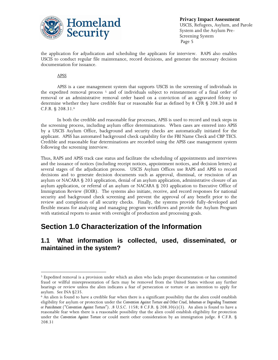

the application for adjudication and scheduling the applicants for interview. RAPS also enables USCIS to conduct regular file maintenance, record decisions, and generate the necessary decision documentation for issuance.

APSS

 $\overline{a}$ 

APSS is a case management system that supports USCIS in the screening of individuals in the expedited removal process <sup>5</sup> and of individuals subject to reinstatement of a final order of removal or an administrative removal order based on a conviction of an aggravated felony to determine whether they have credible fear or reasonable fear as defined by 8 CFR § 208.30 and 8 C.F.R. § 208.31.<sup>6</sup>

In both the credible and reasonable fear processes, APSS is used to record and track steps in the screening process, including asylum office determinations. When cases are entered into APSS by a USCIS Asylum Office, background and security checks are automatically initiated for the applicant. APSS has automated background check capability for the FBI Name Check and CBP TECS. Credible and reasonable fear determinations are recorded using the APSS case management system following the screening interview.

Thus, RAPS and APSS track case status and facilitate the scheduling of appointments and interviews and the issuance of notices (including receipt notices, appointment notices, and decision letters) at several stages of the adjudication process. USCIS Asylum Offices use RAPS and APSS to record decisions and to generate decision documents such as approval, dismissal, or rescission of an asylum or NACARA § 203 application, denial of an asylum application, administrative closure of an asylum application, or referral of an asylum or NACARA § 203 application to Executive Office of Immigration Review (EOIR). The systems also initiate, receive, and record responses for national security and background check screening and prevent the approval of any benefit prior to the review and completion of all security checks. Finally, the systems provide fully-developed and flexible means for analyzing and managing program workflows and provide the Asylum Program with statistical reports to assist with oversight of production and processing goals.

## **Section 1.0 Characterization of the Information**

### **1.1 What information is collected, used, disseminated, or maintained in the system?**

<sup>5</sup> Expedited removal is a provision under which an alien who lacks proper documentation or has committed fraud or willful misrepresentation of facts may be removed from the United States without any further hearings or review unless the alien indicates a fear of persecution or torture or an intention to apply for asylum. See INA §235.

 $6$  An alien is found to have a credible fear when there is a significant possibility that the alien could establish eligibility for asylum or protection under the *Convention Against Torture and Other Cruel, Inhuman or Degrading Treatment or Punishment ("Convention Against Torture")*. *.*8 U.S.C. 1158; 8 C.F.R. § 208.30(e)(3). An alien is found to have a reasonable fear when there is a reasonable possibility that the alien could establish eligibility for protection under the *Convention Against Torture* or could merit other consideration by an immigration judge. 8 C.F.R. § 208.31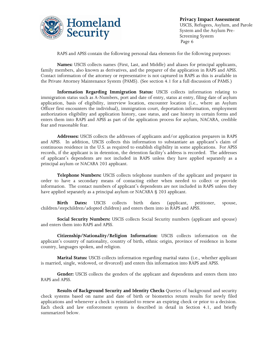

RAPS and APSS contain the following personal data elements for the following purposes:

**Names:** USCIS collects names (First, Last, and Middle) and aliases for principal applicants, family members, also known as derivatives, and the preparer of the application in RAPS and APSS. Contact information of the attorney or representative is not captured in RAPS as this is available in the Private Attorney Maintenance System (PAMS). (See section 4.1 for a full discussion of PAMS.)

**Information Regarding Immigration Status:** USCIS collects information relating to immigration status such as A-Numbers, port and date of entry, status at entry, filing date of asylum application, basis of eligibility, interview location, encounter location (i.e., where an Asylum Officer first encounters the individual), immigration court, deportation information, employment authorization eligibility and application history, case status, and case history in certain forms and enters them into RAPS and APSS as part of the application process for asylum, NACARA, credible fear and reasonable fear.

**Addresses:** USCIS collects the addresses of applicants and/or application preparers in RAPS and APSS. In addition, USCIS collects this information to substantiate an applicant's claim of continuous residence in the U.S. as required to establish eligibility in some applications. For APSS records, if the applicant is in detention, the detention facility's address is recorded. The addresses of applicant's dependents are not included in RAPS unless they have applied separately as a principal asylum or NACARA 203 applicant.

**Telephone Numbers:** USCIS collects telephone numbers of the applicant and preparer in order to have a secondary means of contacting either when needed to collect or provide information. The contact numbers of applicant's dependents are not included in RAPS unless they have applied separately as a principal asylum or NACARA § 203 applicant.

**Birth Dates:** USCIS collects birth dates (applicant, petitioner, spouse, children/stepchildren/adopted children) and enters them into in RAPS and APSS.

**Social Security Numbers:** USCIS collects Social Security numbers (applicant and spouse) and enters them into RAPS and APSS.

**Citizenship/Nationality/Religion Information:** USCIS collects information on the applicant's country of nationality, country of birth, ethnic origin, province of residence in home country, languages spoken, and religion.

**Marital Status:** USCIS collects information regarding marital status (i.e., whether applicant is married, single, widowed, or divorced) and enters this information into RAPS and APSS.

**Gender:** USCIS collects the genders of the applicant and dependents and enters them into RAPS and APSS.

**Results of Background Security and Identity Checks** Queries of background and security check systems based on name and date of birth or biometrics return results for newly filed applications and whenever a check is reinitiated to renew an expiring check or prior to a decision. Each check and law enforcement system is described in detail in Section 4.1, and briefly summarized below.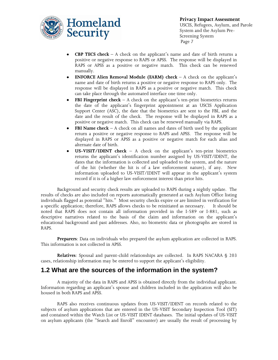

- **CBP TECS check** A check on the applicant's name and date of birth returns a positive or negative response to RAPS or APSS. The response will be displayed in RAPS or APSS as a positive or negative match. This check can be renewed manually.
- **ENFORCE Alien Removal Module (EARM) check** A check on the applicant's name and date of birth returns a positive or negative response to RAPS only. The response will be displayed in RAPS as a positive or negative match. This check can take place through the automated interface one time only.
- **FBI Fingerprint check** A check on the applicant's ten-print biometrics returns the date of the applicant's fingerprint appointment at an USCIS Application Support Center (ASC), the date that the biometrics are sent to the FBI, and the date and the result of the check. The response will be displayed in RAPS as a positive or negative match. This check can be renewed manually via RAPS.
- **FBI Name check** A check on all names and dates of birth used by the applicant return a positive or negative response to RAPS and APSS. The response will be displayed in RAPS or APSS as a positive or negative match for each alias and alternate date of birth.
- **US-VISIT/IDENT check** A check on the applicant's ten-print biometrics returns the applicant's identification number assigned by US-VISIT/IDENT, the dates that the information is collected and uploaded to the system, and the nature of the hit (whether the hit is of a law enforcement nature), if any. New information uploaded to US-VISIT/IDENT will appear in the applicant's system record if it is of a higher law enforcement interest than prior hits.

Background and security check results are uploaded to RAPS during a nightly update. The results of checks are also included on reports automatically generated at each Asylum Office listing individuals flagged as potential "hits." Most security checks expire or are limited in verification for a specific application; therefore, RAPS allows checks to be reinitiated as necessary. It should be noted that RAPS does not contain all information provided in the I-589 or I-881, such as descriptive narratives related to the basis of the claim and information on the applicant's educational background and past addresses. Also, no biometric data or photographs are stored in RAPS.

**Preparers**: Data on individuals who prepared the asylum application are collected in RAPS. This information is not collected in APSS.

**Relatives**: Spousal and parent-child relationships are collected. In RAPS NACARA § 203 cases, relationship information may be entered to support the applicant's eligibility.

### **1.2 What are the sources of the information in the system?**

A majority of the data in RAPS and APSS is obtained directly from the individual applicant. Information regarding an applicant's spouse and children included in the application will also be housed in both RAPS and APSS.

RAPS also receives continuous updates from US-VISIT/IDENT on records related to the subjects of asylum applications that are entered in the US-VISIT Secondary Inspection Tool (SIT) and contained within the Watch List or US-VISIT IDENT databases. The initial updates of US-VISIT on asylum applicants (the "Search and Enroll" encounter) are usually the result of processing by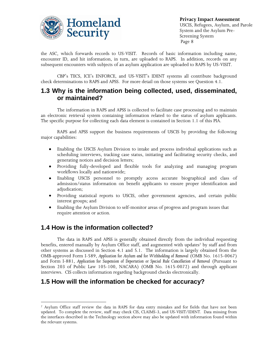

the ASC, which forwards records to US-VISIT. Records of basic information including name, encounter ID, and hit information, in turn, are uploaded to RAPS. In addition, records on any subsequent encounters with subjects of an asylum application are uploaded to RAPS by US-VISIT.

CBP's TECS, ICE's ENFORCE, and US-VISIT's IDENT systems all contribute background check determinations to RAPS and APSS. For more detail on those systems see Question 4.1.

### **1.3 Why is the information being collected, used, disseminated, or maintained?**

The information in RAPS and APSS is collected to facilitate case processing and to maintain an electronic retrieval system containing information related to the status of asylum applicants. The specific purpose for collecting each data element is contained in Section 1.1 of this PIA.

RAPS and APSS support the business requirements of USCIS by providing the following major capabilities:

- $\bullet$ Enabling the USCIS Asylum Division to intake and process individual applications such as scheduling interviews, tracking case status, initiating and facilitating security checks, and generating notices and decision letters;
- Providing fully-developed and flexible tools for analyzing and managing program workflows locally and nationwide;
- Enabling USCIS personnel to promptly access accurate biographical and class of  $\bullet$ admission/status information on benefit applicants to ensure proper identification and adjudication;
- Providing statistical reports to USCIS, other government agencies, and certain public interest groups; and
- Enabling the Asylum Division to self-monitor areas of progress and program issues that require attention or action.

### **1.4 How is the information collected?**

 $\overline{a}$ 

The data in RAPS and APSS is generally obtained directly from the individual requesting benefits, entered manually by Asylum Office staff, and augmented with updates<sup>7</sup> by staff and from other systems as discussed in Section 4.1 and 5.1. The information is largely obtained from the OMB-approved Form I-589, *Application for Asylum and for Withholding of Removal* (OMB No. 1615-0067) and Form I-881, *Application for Suspension of Deportation or Special Rule Cancellation of Removal* (Pursuant to Section 203 of Public Law 105-100, NACARA) (OMB No. 1615-0072) and through applicant interviews. CIS collects information regarding background checks electronically.

### **1.5 How will the information be checked for accuracy?**

<sup>7</sup> Asylum Office staff review the data in RAPS for data entry mistakes and for fields that have not been updated. To complete the review, staff may check CIS, CLAIMS-3, and US-VISIT/IDENT. Data missing from the interfaces described in the Technology section above may also be updated with information found within the relevant systems.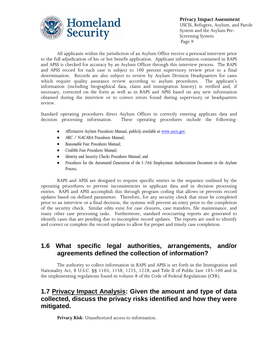

All applicants within the jurisdiction of an Asylum Office receive a personal interview prior to the full adjudication of his or her benefit application. Applicant information contained in RAPS and APSS is checked for accuracy by an Asylum Officer through this interview process. The RAPS and APSS record for each case is subject to 100 percent supervisory review prior to a final determination. Records are also subject to review by Asylum Division Headquarters for cases which require quality assurance review according to asylum procedures. The applicant's information (including biographical data, claim and immigration history) is verified and, if necessary, corrected on the form as well as in RAPS and APSS based on any new information obtained during the interview or to correct errors found during supervisory or headquarters review.

Standard operating procedures direct Asylum Offices in correctly entering applicant data and decision processing information. These operating procedures include the following:

- *Affirmative Asylum Procedures Manual, publicly available at [www.uscis.gov;](http://www.uscis.gov/)*
- *ABC / NACARA Procedures Manual;*
- *Reasonable Fear Procedures Manual;*
- *Credible Fear Procedures Manual;*
- *Identity and Security Checks Procedures Manual; and*
- *Procedures for the Automated Generation of the I-766 Employment Authorization Document in the Asylum*   $\bullet$ *Process.*

RAPS and APSS are designed to require specific entries in the sequence outlined by the operating procedures to prevent inconsistencies in applicant data and in decision processing entries. RAPS and APSS accomplish this through program coding that allows or prevents record updates based on defined parameters. Therefore, for any security check that must be completed prior to an interview or a final decision, the systems will prevent an entry prior to the completion of the security check. Similar edits exist for case closures, case transfers, file maintenance, and many other case processing tasks. Furthermore, standard reoccurring reports are generated to identify cases that are pending due to incomplete record updates. The reports are used to identify and correct or complete the record updates to allow for proper and timely case completion.

### **1.6 What specific legal authorities, arrangements, and/or agreements defined the collection of information?**

The authority to collect information in RAPS and APSS is set forth in the Immigration and Nationality Act, 8 U.S.C. §§ 1103, 1158, 1225, 1228, and Title II of Public Law 105-100 and in the implementing regulations found in volume 8 of the Code of Federal Regulations (CFR).

### **1.7 Privacy Impact Analysis: Given the amount and type of data collected, discuss the privacy risks identified and how they were mitigated.**

**Privacy Risk**: Unauthorized access to information.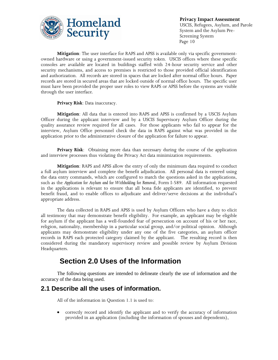

**Mitigation**: The user interface for RAPS and APSS is available only via specific governmentowned hardware or using a government-issued security token. USCIS offices where these specific consoles are available are located in buildings staffed with 24-hour security service and other security mechanisms, and access to premises is restricted to those provided official identification and authorization. All records are stored in spaces that are locked after normal office hours. Paper records are stored in secured areas that are locked outside of normal office hours. The specific user must have been provided the proper user roles to view RAPS or APSS before the systems are visible through the user interface.

#### **Privacy Risk**: Data inaccuracy.

**Mitigation**: All data that is entered into RAPS and APSS is confirmed by a USCIS Asylum Officer during the applicant interview and by a USCIS Supervisory Asylum Officer during the quality assurance review required for all cases. For those applicants who fail to appear for the interview, Asylum Office personnel check the data in RAPS against what was provided in the application prior to the administrative closure of the application for failure to appear.

**Privacy Risk**: Obtaining more data than necessary during the course of the application and interview processes thus violating the Privacy Act data minimization requirements.

**Mitigation**: RAPS and APSS allow the entry of only the minimum data required to conduct a full asylum interview and complete the benefit adjudication. All personal data is entered using the data entry commands, which are configured to match the questions asked in the applications, such as the *Application for Asylum and for Withholding for Removal*, Form I-589. All information requested in the applications is relevant to ensure that all bona fide applicants are identified, to prevent benefit fraud, and to enable offices to adjudicate and deliver/serve decisions at the individual's appropriate address.

The data collected in RAPS and APSS is used by Asylum Officers who have a duty to elicit all testimony that may demonstrate benefit eligibility. For example, an applicant may be eligible for asylum if the applicant has a well-founded fear of persecution on account of his or her race, religion, nationality, membership in a particular social group, and/or political opinion. Although applicants may demonstrate eligibility under any one of the five categories, an asylum officer records in RAPS each protected category claimed by the applicant. The resulting record is then considered during the mandatory supervisory review and possible review by Asylum Division Headquarters.

### **Section 2.0 Uses of the Information**

The following questions are intended to delineate clearly the use of information and the accuracy of the data being used.

### **2.1 Describe all the uses of information.**

All of the information in Question 1.1 is used to:

 $\bullet$ correctly record and identify the applicant and to verify the accuracy of information provided in an application (including the information of spouses and dependents),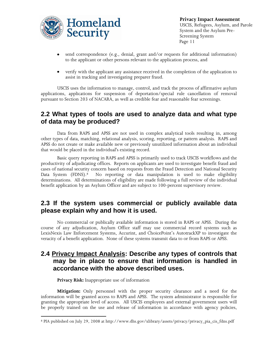

- send correspondence (e.g., denial, grant and/or requests for additional information) to the applicant or other persons relevant to the application process, and
- verify with the applicant any assistance received in the completion of the application to assist in tracking and investigating preparer fraud.

USCIS uses the information to manage, control, and track the process of affirmative asylum applications, applications for suspension of deportation/special rule cancellation of removal pursuant to Section 203 of NACARA, as well as credible fear and reasonable fear screenings.

### **2.2 What types of tools are used to analyze data and what type of data may be produced?**

Data from RAPS and APSS are not used in complex analytical tools resulting in, among other types of data, matching, relational analysis, scoring, reporting, or pattern analysis. RAPS and APSS do not create or make available new or previously unutilized information about an individual that would be placed in the individual's existing record.

Basic query reporting in RAPS and APSS is primarily used to track USCIS workflows and the productivity of adjudicating offices. Reports on applicants are used to investigate benefit fraud and cases of national security concern based on requests from the Fraud Detection and National Security Data System (FDNS).<sup>8</sup> No reporting or data manipulation is used to make eligibility determinations. All determinations of eligibility are made following a full review of the individual benefit application by an Asylum Officer and are subject to 100-percent supervisory review.

### **2.3 If the system uses commercial or publicly available data please explain why and how it is used.**

No commercial or publically available information is stored in RAPS or APSS. During the course of any adjudication, Asylum Office staff may use commercial record systems such as LexisNexis Law Enforcement Systems, Accurint, and ChoicePoint's AutotrackXP to investigate the veracity of a benefit application. None of these systems transmit data to or from RAPS or APSS.

### **2.4 Privacy Impact Analysis: Describe any types of controls that may be in place to ensure that information is handled in accordance with the above described uses.**

**Privacy Risk:** Inappropriate use of information

 $\overline{a}$ 

**Mitigation:** Only personnel with the proper security clearance and a need for the information will be granted access to RAPS and APSS. The system administrator is responsible for granting the appropriate level of access. All USCIS employees and external government users will be properly trained on the use and release of information in accordance with agency policies,

<sup>8</sup> PIA published on July 29, 2008 at http://www.dhs.gov/xlibrary/assets/privacy/privacy\_pia\_cis\_fdns.pdf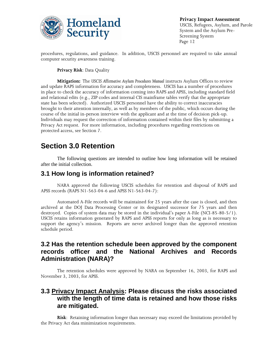

procedures, regulations, and guidance. In addition, USCIS personnel are required to take annual computer security awareness training.

#### **Privacy Risk**: Data Quality

**Mitigation:** The *USCIS Affirmative Asylum Procedures Manual* instructs Asylum Offices to review and update RAPS information for accuracy and completeness. USCIS has a number of procedures in place to check the accuracy of information coming into RAPS and APSS, including standard field and relational edits (e.g., ZIP codes and internal CIS mainframe tables verify that the appropriate state has been selected). Authorized USCIS personnel have the ability to correct inaccuracies brought to their attention internally, as well as by members of the public, which occurs during the course of the initial in-person interview with the applicant and at the time of decision pick-up. Individuals may request the correction of information contained within their files by submitting a Privacy Act request. For more information, including procedures regarding restrictions on protected access, see Section 7.

## **Section 3.0 Retention**

The following questions are intended to outline how long information will be retained after the initial collection.

### **3.1 How long is information retained?**

NARA approved the following USCIS schedules for retention and disposal of RAPS and APSS records (RAPS N1-563-04-6 and APSS N1-563-04-7):

Automated A-File records will be maintained for 25 years after the case is closed, and then archived at the DOJ Data Processing Center or its designated successor for 75 years and then destroyed. Copies of system data may be stored in the individual's paper A-File (NCI-85-80-5/1). USCIS retains information generated by RAPS and APSS reports for only as long as is necessary to support the agency's mission. Reports are never archived longer than the approved retention schedule period.

### **3.2 Has the retention schedule been approved by the component records officer and the National Archives and Records Administration (NARA)?**

The retention schedules were approved by NARA on September 16, 2003, for RAPS and November 3, 2003, for APSS.

### **3.3 Privacy Impact Analysis: Please discuss the risks associated with the length of time data is retained and how those risks are mitigated.**

**Risk**: Retaining information longer than necessary may exceed the limitations provided by the Privacy Act data minimization requirements.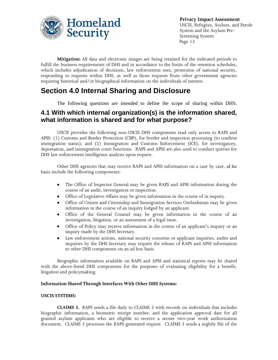

**Mitigation:** All data and electronic images are being retained for the indicated periods to fulfill the business requirements of DHS and in accordance to the limits of the retention schedules, which includes adjudication of decisions, law enforcement uses, protection of national security, responding to requests within DHS, as well as those requests from other government agencies requiring historical and/or biographical information on the individuals of interest.

## **Section 4.0 Internal Sharing and Disclosure**

The following questions are intended to define the scope of sharing within DHS.

### **4.1 With which internal organization(s) is the information shared, what information is shared and for what purpose?**

USCIS provides the following non-USCIS DHS components read only access to RAPS and APSS: (1) Customs and Border Protection (CBP), for border and inspection processing (to confirm immigration status); and (2) Immigration and Customs Enforcement (ICE), for investigatory, deportation, and immigration court functions. RAPS and APSS are also used to conduct queries for DHS law enforcement intelligence analysts upon request.

Other DHS agencies that may receive RAPS and APSS information on a case by case, *ad hoc* basis include the following components:

- The Office of Inspector General may be given RAPS and APSS information during the  $\bullet$ course of an audit, investigation or inspection.
- Office of Legislative Affairs may be given information in the course of in inquiry.
- Office of Citizen and Citizenship and Immigration Services Ombudsman may be given information in the course of an inquiry lodged by an applicant.
- $\bullet$ Office of the General Counsel may be given information in the course of an investigation, litigation, or an assessment of a legal issue.
- $\bullet$ Office of Policy may receive information in the course of an applicant's inquiry or an inquiry made by the DHS Secretary.
- Law enforcement actions, national security concerns or applicant inquiries, audits and  $\bullet$ inquiries by the DHS Secretary may require the release of RAPS and APSS information to other DHS components on an ad hoc basis.

Biographic information available on RAPS and APSS and statistical reports may be shared with the above-listed DHS components for the purposes of evaluating eligibility for a benefit, litigation and policymaking.

#### **Information Shared Through Interfaces With Other DHS Systems:**

#### **USCIS SYSTEMS:**

**CLAIMS 3.** RAPS sends a file daily to CLAIMS 3 with records on individuals that includes biographic information, a biometric receipt number, and the application approval date for all granted asylum applicants who are eligible to receive a secure two-year work authorization document. CLAIMS 3 processes the RAPS-generated request. CLAIMS 3 sends a nightly file of the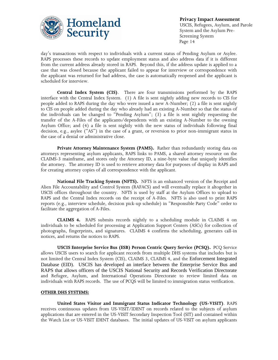

day's transactions with respect to individuals with a current status of Pending Asylum or Asylee. RAPS processes these records to update employment status and also address data if it is different from the current address already stored in RAPS. Beyond this, if the address update is applied to a case that was closed because the applicant failed to appear for interview or correspondence with the applicant was returned for bad address, the case is automatically reopened and the applicant is scheduled for interview.

**Central Index System (CIS)**. There are four transmissions performed by the RAPS interface with the Central Index System. (1) A file is sent nightly adding new records to CIS for people added to RAPS during the day who were issued a new A-Number; (2) a file is sent nightly to CIS on people added during the day who already had an existing A-Number so that the status of the individuals can be changed to "Pending Asylum"; (3) a file is sent nightly requesting the transfer of the A-Files of the applicants/dependents with an existing A-Number to the owning Asylum Office; and (4) a file is sent nightly with the new status of individuals following final decision, e.g., asylee ("AS") in the case of a grant, or reversion to prior non-immigrant status in the case of a denial or administrative close.

**Private Attorney Maintenance System (PAMS).** Rather than redundantly storing data on attorneys representing asylum applicants, RAPS links to PAMS, a shared attorney resource on the CLAIMS-3 mainframe, and stores only the Attorney ID, a nine-byte value that uniquely identifies the attorney. The attorney ID is used to retrieve attorney data for purposes of display in RAPS and for creating attorney copies of all correspondence with the applicant.

**National File Tracking System (NFTS).** NFTS is an enhanced version of the Receipt and Alien File Accountability and Control System (RAFACS) and will eventually replace it altogether in USCIS offices throughout the country. NFTS is used by staff at the Asylum Offices to upload to RAPS and the Central Index records on the receipt of A-Files. NFTS is also used to print RAPS reports (e.g., interview schedule, decision pick-up schedule) in "Responsible Party Code" order to facilitate the aggregation of A-Files.

**CLAIMS 4.** RAPS submits records nightly to a scheduling module in CLAIMS 4 on individuals to be scheduled for processing at Application Support Centers (ASCs) for collection of photographs, fingerprints, and signatures. CLAIMS 4 confirms the scheduling, generates call-in notices, and returns the notices to RAPS.

**USCIS Enterprise Service Bus (ESB) Person Centric Query Service (PCSQ).** PCQ Service allows USCIS users to search for applicant records from multiple DHS systems that includes but is not limited the Central Index System (CIS), CLAIMS 3, CLAIMS 4, and the Enforcement Integrated Database (EID). USCIS has developed an interface between the Enterprise Service Bus and RAPS that allows officers of the USCIS National Security and Records Verification Directorate and Refugee, Asylum, and International Operations Directorate to review limited data on individuals with RAPS records. The use of PCQS will be limited to immigration status verification.

#### **OTHER DHS SYSTEMS:**

**United States Visitor and Immigrant Status Indicator Technology (US-VISIT)**. RAPS receives continuous updates from US-VISIT/IDENT on records related to the subjects of asylum applications that are entered in the US-VISIT Secondary Inspection Tool (SIT) and contained within the Watch List or US-VISIT IDENT databases. The initial updates of US-VISIT on asylum applicants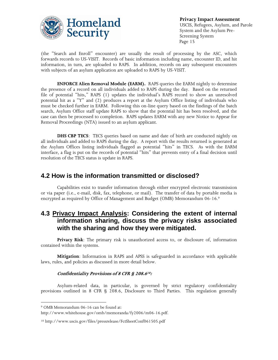

(the "Search and Enroll" encounter) are usually the result of processing by the ASC, which forwards records to US-VISIT. Records of basic information including name, encounter ID, and hit information, in turn, are uploaded to RAPS. In addition, records on any subsequent encounters with subjects of an asylum application are uploaded to RAPS by US-VISIT.

**ENFORCE Alien Removal Module (EARM).** RAPS queries the EARM nightly to determine the presence of a record on all individuals added to RAPS during the day. Based on the returned file of potential "hits," RAPS (1) updates the individual's RAPS record to show an unresolved potential hit as a "Y" and (2) produces a report at the Asylum Office listing of individuals who must be checked further in EARM. Following this on-line query based on the findings of the batch search, Asylum Office staff update RAPS to show that the potential hit has been resolved, and the case can then be processed to completion. RAPS updates EARM with any new Notice to Appear for Removal Proceedings (NTA) issued to an asylum applicant.

**DHS CBP TECS**: TECS queries based on name and date of birth are conducted nightly on all individuals and added to RAPS during the day. A report with the results returned is generated at the Asylum Offices listing individuals flagged as potential "hits" in TECS. As with the EARM interface, a flag is put on the records of potential "hits" that prevents entry of a final decision until resolution of the TECS status is update in RAPS.

### **4.2 How is the information transmitted or disclosed?**

Capabilities exist to transfer information through either encrypted electronic transmission or via paper (i.e., e-mail, disk, fax, telephone, or mail). The transfer of data by portable media is encrypted as required by Office of Management and Budget (OMB) Memorandum 06-16.<sup>9</sup>

### **4.3 Privacy Impact Analysis: Considering the extent of internal information sharing, discuss the privacy risks associated with the sharing and how they were mitigated.**

**Privacy Risk**: The primary risk is unauthorized access to, or disclosure of, information contained within the systems.

**Mitigation**: Information in RAPS and APSS is safeguarded in accordance with applicable laws, rules, and policies as discussed in more detail below.

#### **Confidentiality Provisions of 8 CFR § 208.6<sup>10</sup>:**

Asylum-related data, in particular, is governed by strict regulatory confidentiality provisions outlined in 8 CFR § 208.6, Disclosure to Third Parties. This regulation generally

 $\overline{a}$ 

<sup>9</sup> OMB Memorandum 06-16 can be found at:

http://www.whitehouse.gov/omb/memoranda/fy2006/m06-16.pdf.

<sup>10</sup> http://www.uscis.gov/files/pressrelease/FctSheetConf061505.pdf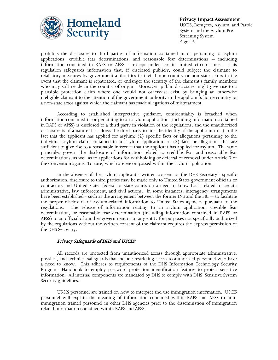

prohibits the disclosure to third parties of information contained in or pertaining to asylum applications, credible fear determinations, and reasonable fear determinations -- including information contained in RAPS or APSS -- except under certain limited circumstances. This regulation safeguards information that, if disclosed publicly, could subject the claimant to retaliatory measures by government authorities in their home country or non-state actors in the event that the claimant is repatriated, or endanger the security of the claimant's family members who may still reside in the country of origin. Moreover, public disclosure might give rise to a plausible protection claim where one would not otherwise exist by bringing an otherwise ineligible claimant to the attention of the government authority in the applicant's home country or a non-state actor against which the claimant has made allegations of mistreatment.

According to established interpretative guidance, confidentiality is breached when information contained in or pertaining to an asylum application (including information contained in RAPS or APSS) is disclosed to a third party in violation of the regulations, and the unauthorized disclosure is of a nature that allows the third party to link the identity of the applicant to: (1) the fact that the applicant has applied for asylum; (2) specific facts or allegations pertaining to the individual asylum claim contained in an asylum application; or (3) facts or allegations that are sufficient to give rise to a reasonable inference that the applicant has applied for asylum. The same principles govern the disclosure of information related to credible fear and reasonable fear determinations, as well as to applications for withholding or deferral of removal under Article 3 of the Convention against Torture, which are encompassed within the asylum application.

In the absence of the asylum applicant's written consent or the DHS Secretary's specific authorization, disclosure to third parties may be made only to United States government officials or contractors and United States federal or state courts on a need to know basis related to certain administrative, law enforcement, and civil actions. In some instances, interagency arrangements have been established - such as the arrangement between the former INS and the FBI -- to facilitate the proper disclosure of asylum-related information to United States agencies pursuant to the regulations. The release of information relating to an asylum application, credible fear determination, or reasonable fear determination (including information contained in RAPS or APSS) to an official of another government or to any entity for purposes not specifically authorized by the regulations without the written consent of the claimant requires the express permission of the DHS Secretary.

#### **Privacy Safeguards of DHS and USCIS:**

All records are protected from unauthorized access through appropriate administrative, physical, and technical safeguards that include restricting access to authorized personnel who have a need to know. This adheres to requirements of the DHS Information Technology Security Programs Handbook to employ password protection identification features to protect sensitive information. All internal components are mandated by DHS to comply with DHS' Sensitive System Security guidelines.

USCIS personnel are trained on how to interpret and use immigration information. USCIS personnel will explain the meaning of information contained within RAPS and APSS to nonimmigration trained personnel in other DHS agencies prior to the dissemination of immigration related information contained within RAPS and APSS.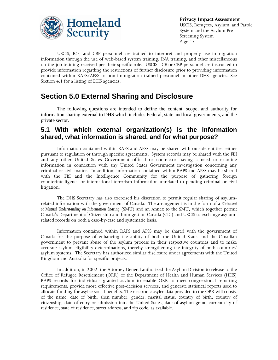

USCIS, ICE, and CBP personnel are trained to interpret and properly use immigration information through the use of web-based system training, INA training, and other miscellaneous on-the-job training received per their specific role. USCIS, ICE or CBP personnel are instructed to provide information regarding the restrictions of further disclosure prior to providing information contained within RAPS/APSS to non-immigration trained personnel in other DHS agencies. See Section 4.1 for a listing of DHS agencies.

## **Section 5.0 External Sharing and Disclosure**

The following questions are intended to define the content, scope, and authority for information sharing external to DHS which includes Federal, state and local governments, and the private sector.

### **5.1 With which external organization(s) is the information shared, what information is shared, and for what purpose?**

Information contained within RAPS and APSS may be shared with outside entities, either pursuant to regulation or through specific agreements. System records may be shared with the FBI and any other United States Government official or contractor having a need to examine information in connection with any United States Government investigation concerning any criminal or civil matter. In addition, information contained within RAPS and APSS may be shared with the FBI and the Intelligence Community for the purpose of gathering foreign counterintelligence or international terrorism information unrelated to pending criminal or civil litigation.

The DHS Secretary has also exercised his discretion to permit regular sharing of asylumrelated information with the government of Canada. The arrangement is in the form of a *Statement of Mutual Understanding on Information Sharing* (SMU) and an Annex to the SMU, which together permit Canada's Department of Citizenship and Immigration Canada (CIC) and USCIS to exchange asylumrelated records on both a case-by-case and systematic basis.

Information contained within RAPS and APSS may be shared with the government of Canada for the purpose of enhancing the ability of both the United States and the Canadian government to prevent abuse of the asylum process in their respective countries and to make accurate asylum eligibility determinations, thereby strengthening the integrity of both countries' asylum systems. The Secretary has authorized similar disclosure under agreements with the United Kingdom and Australia for specific projects.

In addition, in 2002, the Attorney General authorized the Asylum Division to release to the Office of Refugee Resettlement (ORR) of the Department of Health and Human Services (HHS) RAPS records for individuals granted asylum to enable ORR to meet congressional reporting requirements, provide more effective post-decision services, and generate statistical reports used to allocate funding for asylee social benefits. The electronic asylee data provided to the ORR will consist of the name, date of birth, alien number, gender, marital status, country of birth, country of citizenship, date of entry or admission into the United States, date of asylum grant, current city of residence, state of residence, street address, and zip code, as available.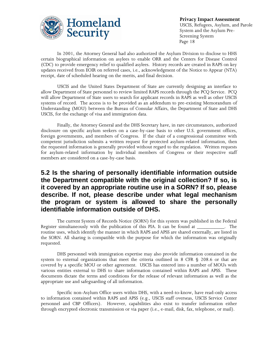

In 2001, the Attorney General had also authorized the Asylum Division to disclose to HHS certain biographical information on asylees to enable ORR and the Centers for Disease Control (CDC) to provide emergency relief to qualified asylees. History records are created in RAPS on key updates received from EOIR on referred cases, i.e., acknowledgment of the Notice to Appear (NTA) receipt, date of scheduled hearing on the merits, and final decision.

USCIS and the United States Department of State are currently designing an interface to allow Department of State personnel to review limited RAPS records through the PCQ Service. PCQ will allow Department of State users to search for applicant records in RAPS as well as other USCIS systems of record. The access is to be provided as an addendum to pre-existing Memorandum of Understanding (MOU) between the Bureau of Consular Affairs, the Department of State and DHS USCIS, for the exchange of visa and immigration data.

Finally, the Attorney General and the DHS Secretary have, in rare circumstances, authorized disclosure on specific asylum seekers on a case-by-case basis to other U.S. government offices, foreign governments, and members of Congress. If the chair of a congressional committee with competent jurisdiction submits a written request for protected asylum-related information, then the requested information is generally provided without regard to the regulation. Written requests for asylum-related information by individual members of Congress or their respective staff members are considered on a case-by-case basis.

### **5.2 Is the sharing of personally identifiable information outside the Department compatible with the original collection? If so, is it covered by an appropriate routine use in a SORN? If so, please describe. If not, please describe under what legal mechanism the program or system is allowed to share the personally identifiable information outside of DHS.**

The current System of Records Notice (SORN) for this system was published in the Federal Register simultaneously with the publication of this PIA. It can be found at \_\_\_\_\_\_\_\_\_\_\_. The routine uses, which identify the manner in which RAPS and APSS are shared externally, are listed in the SORN. All sharing is compatible with the purpose for which the information was originally requested.

DHS personnel with immigration expertise may also provide information contained in the system to external organizations that meet the criteria outlined in 8 CFR § 208.6 or that are covered by a specific MOU or other agreement. USCIS has entered into a number of MOUs with various entities external to DHS to share information contained within RAPS and APSS. These documents dictate the terms and conditions for the release of relevant information as well as the appropriate use and safeguarding of all information.

Specific non-Asylum Office users within DHS, with a need-to-know, have read-only access to information contained within RAPS and APSS (e.g., USCIS staff overseas, USCIS Service Center personnel and CBP Officers). However, capabilities also exist to transfer information either through encrypted electronic transmission or via paper (i.e., e-mail, disk, fax, telephone, or mail).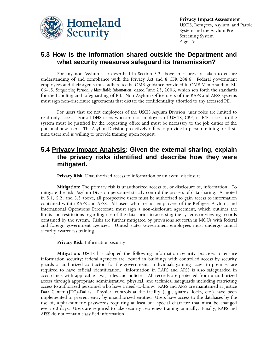

### **5.3 How is the information shared outside the Department and what security measures safeguard its transmission?**

For any non-Asylum user described in Section 5.2 above, measures are taken to ensure understanding of and compliance with the Privacy Act and 8 CFR 208.6. Federal government employees and their agents must adhere to the OMB guidance provided in OMB Memorandum M-06-15, *Safeguarding Personally Identifiable Information*, dated June 23, 2006, which sets forth the standards for the handling and safeguarding of PII. Non-Asylum Office users of the RAPS and APSS systems must sign non-disclosure agreements that dictate the confidentiality afforded to any accessed PII.

For users that are not employees of the USCIS Asylum Division, user roles are limited to read-only access. For all DHS users who are not employees of USCIS, CBP, or ICE, access to the system must be justified by the requesting office and must be necessary to the job duties of the potential new users. The Asylum Division proactively offers to provide in-person training for firsttime users and is willing to provide training upon request.

### **5.4 Privacy Impact Analysis: Given the external sharing, explain the privacy risks identified and describe how they were mitigated.**

**Privacy Risk**: Unauthorized access to information or unlawful disclosure

**Mitigation:** The primary risk is unauthorized access to, or disclosure of, information. To mitigate the risk, Asylum Division personnel strictly control the process of data sharing. As noted in 5.1, 5.2, and 5.3 above, all prospective users must be authorized to gain access to information contained within RAPS and APSS. All users who are not employees of the Refugee, Asylum, and International Operations Directorate must sign a non-disclosure agreement, which outlines the limits and restrictions regarding use of the data, prior to accessing the systems or viewing records contained by the system. Risks are further mitigated by provisions set forth in MOUs with federal and foreign government agencies. United States Government employees must undergo annual security awareness training.

**Privacy Risk:** Information security

**Mitigation:** USCIS has adopted the following information security practices to ensure information security: federal agencies are located in buildings with controlled access by security guards or authorized contractors for the government. Individuals gaining access to premises are required to have official identification. Information in RAPS and APSS is also safeguarded in accordance with applicable laws, rules and policies. All records are protected from unauthorized access through appropriate administrative, physical, and technical safeguards including restricting access to authorized personnel who have a need-to-know. RAPS and APSS are maintained at Justice Data Center (JDC)-Dallas. Physical controls at the facility (e.g., guards, locks, etc.) have been implemented to prevent entry by unauthorized entities. Users have access to the databases by the use of, alpha-numeric passwords requiring at least one special character that must be changed every 60-days. Users are required to take security awareness training annually. Finally, RAPS and APSS do not contain classified information.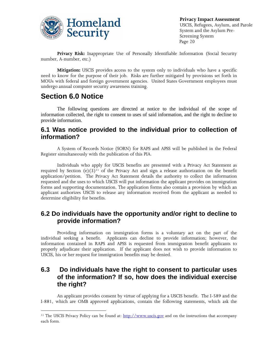

**Privacy Risk:** Inappropriate Use of Personally Identifiable Information (Social Security number, A-number, etc.)

**Mitigation:** USCIS provides access to the system only to individuals who have a specific need to know for the purpose of their job. Risks are further mitigated by provisions set forth in MOUs with federal and foreign government agencies. United States Government employees must undergo annual computer security awareness training.

## **Section 6.0 Notice**

 $\overline{a}$ 

The following questions are directed at notice to the individual of the scope of information collected, the right to consent to uses of said information, and the right to decline to provide information.

### **6.1 Was notice provided to the individual prior to collection of information?**

A System of Records Notice (SORN) for RAPS and APSS will be published in the Federal Register simultaneously with the publication of this PIA.

Individuals who apply for USCIS benefits are presented with a Privacy Act Statement as required by Section (e)(3)<sup>11</sup> of the Privacy Act and sign a release authorization on the benefit application/petition. The Privacy Act Statement details the authority to collect the information requested and the uses to which USCIS will put information the applicant provides on immigration forms and supporting documentation. The application forms also contain a provision by which an applicant authorizes USCIS to release any information received from the applicant as needed to determine eligibility for benefits.

### **6.2 Do individuals have the opportunity and/or right to decline to provide information?**

Providing information on immigration forms is a voluntary act on the part of the individual seeking a benefit. Applicants can decline to provide information; however, the information contained in RAPS and APSS is requested from immigration benefit applicants to properly adjudicate their application. If the applicant does not wish to provide information to USCIS, his or her request for immigration benefits may be denied.

### **6.3 Do individuals have the right to consent to particular uses of the information? If so, how does the individual exercise the right?**

An applicant provides consent by virtue of applying for a USCIS benefit. The I-589 and the I-881, which are OMB approved applications, contain the following statements, which ask the

<sup>11</sup> The USCIS Privacy Policy can be found at: [http://www.uscis.gov](http://www.uscis.gov/) and on the instructions that accompany each form.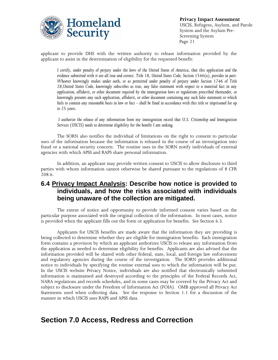

applicant to provide DHS with the written authority to release information provided by the applicant to assist in the determination of eligibility for the requested benefit:

*I certify, under penalty of perjury under the laws of the United States of America, that this application and the evidence submitted with it are all true and correct. Title 18, United States Code, Section 1546(a), provides in part: Whoever knowingly makes under oath, or as permitted under penalty of perjury under Section 1746 of Title 28,United States Code, knowingly subscribes as true, any false statement with respect to a material fact in any*  application, affidavit, or other document required by the immigration laws or regulations prescribed thereunder, or *knowingly presents any such application, affidavit, or other document containing any such false statement or which fails to contain any reasonable basis in law or fact - shall be fined in accordance with this title or imprisoned for up to 25 years.*

*I authorize the release of any information from my immigration record that U.S. Citizenship and Immigration Services (USCIS) needs to determine eligibility for the benefit I am seeking.*

The SORN also notifies the individual of limitations on the right to consent to particular uses of the information because the information is released in the course of an investigation into fraud or a national security concern. The routine uses in the SORN notify individuals of external agencies with which APSS and RAPS share personal information.

In addition, an applicant may provide written consent to USCIS to allow disclosure to third parties with whom information cannot otherwise be shared pursuant to the regulations of 8 CFR 208.6.

### **6.4 Privacy Impact Analysis: Describe how notice is provided to individuals, and how the risks associated with individuals being unaware of the collection are mitigated.**

The extent of notice and opportunity to provide informed consent varies based on the particular purpose associated with the original collection of the information. In most cases, notice is provided when the applicant fills out the form or application for benefits. See Section 6.3.

Applicants for USCIS benefits are made aware that the information they are providing is being collected to determine whether they are eligible for immigration benefits. Each immigration form contains a provision by which an applicant authorizes USCIS to release any information from the application as needed to determine eligibility for benefits. Applicants are also advised that the information provided will be shared with other federal, state, local, and foreign law enforcement and regulatory agencies during the course of the investigation. The SORN provides additional notice to individuals by specifying the routine external uses to which the information will be put. In the USCIS website Privacy Notice, individuals are also notified that electronically submitted information is maintained and destroyed according to the principles of the Federal Records Act, NARA regulations and records schedules, and in some cases may be covered by the Privacy Act and subject to disclosure under the Freedom of Information Act (FOIA). OMB approved all Privacy Act Statements used when collecting data. See the response to Section 1.1 for a discussion of the manner in which USCIS uses RAPS and APSS data.

### **Section 7.0 Access, Redress and Correction**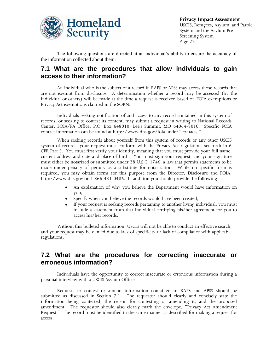

The following questions are directed at an individual's ability to ensure the accuracy of the information collected about them.

### **7.1 What are the procedures that allow individuals to gain access to their information?**

An individual who is the subject of a record in RAPS or APSS may access those records that are not exempt from disclosure. A determination whether a record may be accessed (by the individual or others) will be made at the time a request is received based on FOIA exemptions or Privacy Act exemptions claimed in the SORN.

Individuals seeking notification of and access to any record contained in this system of records, or seeking to contest its content, may submit a request in writing to National Records Center, FOIA/PA Office, P.O. Box 648010, Lee's Summit, MO 64064-8010. Specific FOIA contact information can be found at http://www.dhs.gov/foia under "contacts."

When seeking records about yourself from this system of records or any other USCIS system of records, your request must conform with the Privacy Act regulations set forth in 6 CFR Part 5. You must first verify your identity, meaning that you must provide your full name, current address and date and place of birth. You must sign your request, and your signature must either be notarized or submitted under 28 U.S.C. 1746, a law that permits statements to be made under penalty of perjury as a substitute for notarization. While no specific form is required, you may obtain forms for this purpose from the Director, Disclosure and FOIA, http://www.dhs.gov or 1-866-431-0486. In addition you should provide the following:

- An explanation of why you believe the Department would have information on  $\bullet$ you,
- Specify when you believe the records would have been created,
- $\bullet$ If your request is seeking records pertaining to another living individual, you must include a statement from that individual certifying his/her agreement for you to access his/her records.

Without this bulleted information, USCIS will not be able to conduct an effective search, and your request may be denied due to lack of specificity or lack of compliance with applicable regulations.

### **7.2 What are the procedures for correcting inaccurate or erroneous information?**

Individuals have the opportunity to correct inaccurate or erroneous information during a personal interview with a USCIS Asylum Officer.

Requests to contest or amend information contained in RAPS and APSS should be submitted as discussed in Section 7.1. The requestor should clearly and concisely state the information being contested, the reason for contesting or amending it, and the proposed amendment. The requestor should also clearly mark the envelope, "Privacy Act Amendment Request." The record must be identified in the same manner as described for making a request for access.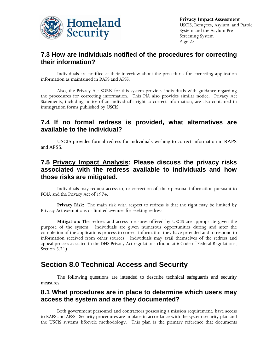

### **7.3 How are individuals notified of the procedures for correcting their information?**

Individuals are notified at their interview about the procedures for correcting application information as maintained in RAPS and APSS.

Also, the Privacy Act SORN for this system provides individuals with guidance regarding the procedures for correcting information. This PIA also provides similar notice. Privacy Act Statements, including notice of an individual's right to correct information, are also contained in immigration forms published by USCIS.

### **7.4 If no formal redress is provided, what alternatives are available to the individual?**

USCIS provides formal redress for individuals wishing to correct information in RAPS and APSS.

### **7.5 Privacy Impact Analysis: Please discuss the privacy risks associated with the redress available to individuals and how those risks are mitigated.**

Individuals may request access to, or correction of, their personal information pursuant to FOIA and the Privacy Act of 1974.

**Privacy Risk:** The main risk with respect to redress is that the right may be limited by Privacy Act exemptions or limited avenues for seeking redress.

**Mitigation:** The redress and access measures offered by USCIS are appropriate given the purpose of the system. Individuals are given numerous opportunities during and after the completion of the applications process to correct information they have provided and to respond to information received from other sources. Individuals may avail themselves of the redress and appeal process as stated in the DHS Privacy Act regulations (found at 6 Code of Federal Regulations, Section 5.21).

## **Section 8.0 Technical Access and Security**

The following questions are intended to describe technical safeguards and security measures.

### **8.1 What procedures are in place to determine which users may access the system and are they documented?**

Both government personnel and contractors possessing a mission requirement, have access to RAPS and APSS. Security procedures are in place in accordance with the system security plan and the USCIS systems lifecycle methodology. This plan is the primary reference that documents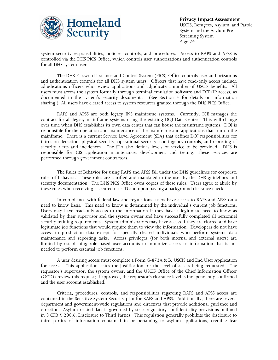

system security responsibilities, policies, controls, and procedures. Access to RAPS and APSS is controlled via the DHS PICS Office, which controls user authorizations and authentication controls for all DHS system users.

The DHS Password Issuance and Control System (PICS) Office controls user authorizations and authentication controls for all DHS system users. Officers that have read-only access include adjudications officers who review applications and adjudicate a number of USCIS benefits. All users must access the system formally through terminal emulation software and TCP/IP access, as documented in the system's security documents. (See Section 4 for details on information sharing.) All users have cleared access to system resources granted through the DHS PICS Office.

RAPS and APSS are both legacy INS mainframe systems. Currently, ICE manages the contract for all legacy mainframe systems using the existing DOJ Data Center. This will change over time when DHS establishes its own data center that can house the mainframe systems. DOJ is responsible for the operation and maintenance of the mainframe and applications that run on the mainframe. There is a current Service Level Agreement (SLA) that defines DOJ responsibilities for intrusion detection, physical security, operational security, contingency controls, and reporting of security alerts and incidences. The SLA also defines levels of service to be provided. DHS is responsible for CIS application maintenance, development and testing. These services are performed through government contractors.

The Rules of Behavior for using RAPS and APSS fall under the DHS guidelines for corporate rules of behavior. These rules are clarified and mandated to the user by the DHS guidelines and security documentation. The DHS PICS Office owns copies of these rules. Users agree to abide by these rules when receiving a secured user ID and upon passing a background clearance check.

In compliance with federal law and regulations, users have access to RAPS and APSS on a need to know basis. This need to know is determined by the individual's current job functions. Users may have read-only access to the information if they have a legitimate need to know as validated by their supervisor and the system owner and have successfully completed all personnel security training requirements. System administrators may have access if they are cleared and have legitimate job functions that would require them to view the information. Developers do not have access to production data except for specially cleared individuals who perform systems data maintenance and reporting tasks. Access privileges (for both internal and external users) are limited by establishing role based user accounts to minimize access to information that is not needed to perform essential job functions.

A user desiring access must complete a Form G-872A & B, USCIS and End User Application for access. This application states the justification for the level of access being requested. The requestor's supervisor, the system owner, and the USCIS Office of the Chief Information Officer (OCIO) review this request; if approved, the requestor's clearance level is independently confirmed and the user account established.

Criteria, procedures, controls, and responsibilities regarding RAPS and APSS access are contained in the Sensitive System Security plan for RAPS and APSS. Additionally, there are several department and government-wide regulations and directives that provide additional guidance and direction. Asylum-related data is governed by strict regulatory confidentiality provisions outlined in 8 CFR § 208.6, Disclosure to Third Parties. This regulation generally prohibits the disclosure to third parties of information contained in or pertaining to asylum applications, credible fear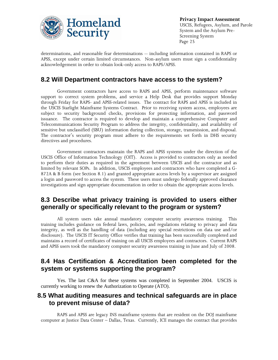

determinations, and reasonable fear determinations -- including information contained in RAPS or APSS, except under certain limited circumstances. Non-asylum users must sign a confidentiality acknowledgement in order to obtain look-only access to RAPS/APSS.

### **8.2 Will Department contractors have access to the system?**

Government contractors have access to RAPS and APSS, perform maintenance software support to correct system problems, and service a Help Desk that provides support Monday through Friday for RAPS- and APSS-related issues. The contract for RAPS and APSS is included in the USCIS Starlight Mainframe Systems Contract. Prior to receiving system access, employees are subject to security background checks, provisions for protecting information, and password issuance. The contractor is required to develop and maintain a comprehensive Computer and Telecommunications Security Program to address the integrity, confidentiality, and availability of sensitive but unclassified (SBU) information during collection, storage, transmission, and disposal. The contractor's security program must adhere to the requirements set forth in DHS security directives and procedures.

Government contractors maintain the RAPS and APSS systems under the direction of the USCIS Office of Information Technology (OIT). Access is provided to contractors only as needed to perform their duties as required in the agreement between USCIS and the contractor and as limited by relevant SOPs. In addition, USCIS employees and contractors who have completed a G-872A & B form (see Section 8.1) and granted appropriate access levels by a supervisor are assigned a login and password to access the system. These users must undergo federally approved clearance investigations and sign appropriate documentation in order to obtain the appropriate access levels.

### **8.3 Describe what privacy training is provided to users either generally or specifically relevant to the program or system?**

All system users take annual mandatory computer security awareness training. This training includes guidance on federal laws, policies, and regulations relating to privacy and data integrity, as well as the handling of data (including any special restrictions on data use and/or disclosure). The USCIS IT Security Office verifies that training has been successfully completed and maintains a record of certificates of training on all USCIS employees and contractors. Current RAPS and APSS users took the mandatory computer security awareness training in June and July of 2008.

### **8.4 Has Certification & Accreditation been completed for the system or systems supporting the program?**

Yes. The last C&A for these systems was completed in September 2004. USCIS is currently working to renew the Authorization to Operate (ATO).

### **8.5 What auditing measures and technical safeguards are in place to prevent misuse of data?**

RAPS and APSS are legacy INS mainframe systems that are resident on the DOJ mainframe computer at Justice Data Center – Dallas, Texas. Currently, ICE manages the contract that provides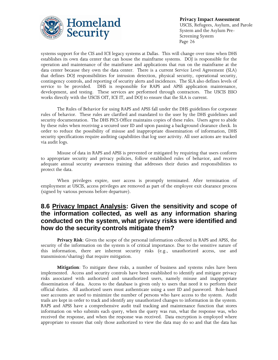

systems support for the CIS and ICE legacy systems at Dallas. This will change over time when DHS establishes its own data center that can house the mainframe systems. DOJ is responsible for the operation and maintenance of the mainframe and applications that run on the mainframe at the data center because they own the data center. There is a current Service Level Agreement (SLA) that defines DOJ responsibilities for intrusion detection, physical security, operational security, contingency controls, and reporting of security alerts and incidences. The SLA also defines levels of service to be provided. DHS is responsible for RAPS and APSS application maintenance, development, and testing. These services are performed through contractors. The USCIS ISSO works directly with the USCIS OIT, ICE IT, and DOJ to ensure that the SLA is current.

The Rules of Behavior for using RAPS and APSS fall under the DHS guidelines for corporate rules of behavior. These rules are clarified and mandated to the user by the DHS guidelines and security documentation. The DHS PICS Office maintains copies of these rules. Users agree to abide by these rules when receiving a secured user ID and upon passing a background clearance check. In order to reduce the possibility of misuse and inappropriate dissemination of information, DHS security specifications require auditing capabilities that log user activity. All user actions are tracked via audit logs.

Misuse of data in RAPS and APSS is prevented or mitigated by requiring that users conform to appropriate security and privacy policies, follow established rules of behavior, and receive adequate annual security awareness training that addresses their duties and responsibilities to protect the data.

When privileges expire, user access is promptly terminated. After termination of employment at USCIS, access privileges are removed as part of the employee exit clearance process (signed by various persons before departure).

### **8.6 Privacy Impact Analysis: Given the sensitivity and scope of the information collected, as well as any information sharing conducted on the system, what privacy risks were identified and how do the security controls mitigate them?**

**Privacy Risk**: Given the scope of the personal information collected in RAPS and APSS, the security of the information on the system is of critical importance. Due to the sensitive nature of this information, there are inherent security risks (e.g., unauthorized access, use and transmission/sharing) that require mitigation.

**Mitigation**: To mitigate these risks, a number of business and systems rules have been implemented. Access and security controls have been established to identify and mitigate privacy risks associated with authorized and unauthorized users, namely misuse and inappropriate dissemination of data. Access to the database is given only to users that need it to perform their official duties. All authorized users must authenticate using a user ID and password. Role-based user accounts are used to minimize the number of persons who have access to the system. Audit trails are kept in order to track and identify any unauthorized changes to information in the system. RAPS and APSS have a comprehensive audit trail tracking and maintenance function that stores information on who submits each query, when the query was run, what the response was, who received the response, and when the response was received. Data encryption is employed where appropriate to ensure that only those authorized to view the data may do so and that the data has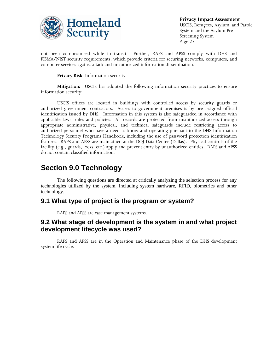

not been compromised while in transit. Further, RAPS and APSS comply with DHS and FISMA/NIST security requirements, which provide criteria for securing networks, computers, and computer services against attack and unauthorized information dissemination.

**Privacy Risk**: Information security.

**Mitigation:** USCIS has adopted the following information security practices to ensure information security:

USCIS offices are located in buildings with controlled access by security guards or authorized government contractors. Access to government premises is by pre-assigned official identification issued by DHS. Information in this system is also safeguarded in accordance with applicable laws, rules and policies. All records are protected from unauthorized access through appropriate administrative, physical, and technical safeguards include restricting access to authorized personnel who have a need to know and operating pursuant to the DHS Information Technology Security Programs Handbook, including the use of password protection identification features. RAPS and APSS are maintained at the DOJ Data Center (Dallas). Physical controls of the facility (e.g., guards, locks, etc.) apply and prevent entry by unauthorized entities. RAPS and APSS do not contain classified information.

## **Section 9.0 Technology**

The following questions are directed at critically analyzing the selection process for any technologies utilized by the system, including system hardware, RFID, biometrics and other technology.

### **9.1 What type of project is the program or system?**

RAPS and APSS are case management systems.

### **9.2 What stage of development is the system in and what project development lifecycle was used?**

RAPS and APSS are in the Operation and Maintenance phase of the DHS development system life cycle.